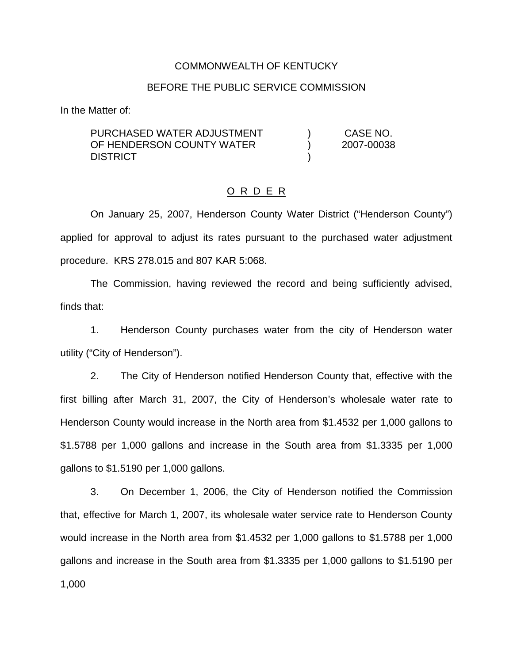#### COMMONWEALTH OF KENTUCKY

#### BEFORE THE PUBLIC SERVICE COMMISSION

In the Matter of:

| PURCHASED WATER ADJUSTMENT | CASE NO.   |
|----------------------------|------------|
| OF HENDERSON COUNTY WATER  | 2007-00038 |
| <b>DISTRICT</b>            |            |

#### O R D E R

On January 25, 2007, Henderson County Water District ("Henderson County") applied for approval to adjust its rates pursuant to the purchased water adjustment procedure. KRS 278.015 and 807 KAR 5:068.

The Commission, having reviewed the record and being sufficiently advised, finds that:

1. Henderson County purchases water from the city of Henderson water utility ("City of Henderson").

2. The City of Henderson notified Henderson County that, effective with the first billing after March 31, 2007, the City of Henderson's wholesale water rate to Henderson County would increase in the North area from \$1.4532 per 1,000 gallons to \$1.5788 per 1,000 gallons and increase in the South area from \$1.3335 per 1,000 gallons to \$1.5190 per 1,000 gallons.

3. On December 1, 2006, the City of Henderson notified the Commission that, effective for March 1, 2007, its wholesale water service rate to Henderson County would increase in the North area from \$1.4532 per 1,000 gallons to \$1.5788 per 1,000 gallons and increase in the South area from \$1.3335 per 1,000 gallons to \$1.5190 per 1,000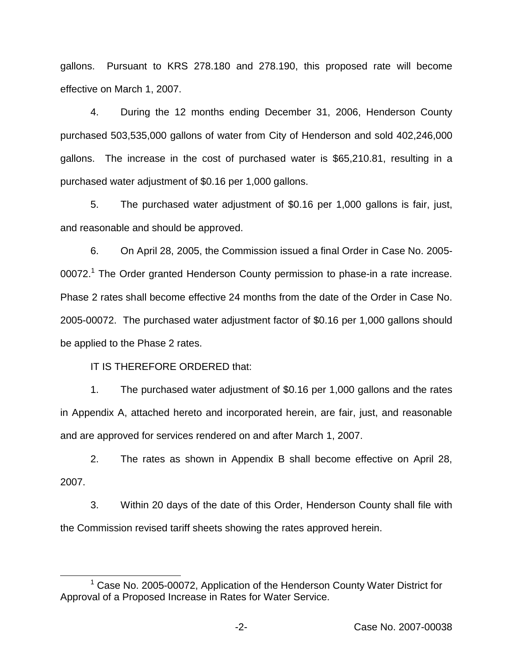gallons. Pursuant to KRS 278.180 and 278.190, this proposed rate will become effective on March 1, 2007.

4. During the 12 months ending December 31, 2006, Henderson County purchased 503,535,000 gallons of water from City of Henderson and sold 402,246,000 gallons. The increase in the cost of purchased water is \$65,210.81, resulting in a purchased water adjustment of \$0.16 per 1,000 gallons.

5. The purchased water adjustment of \$0.16 per 1,000 gallons is fair, just, and reasonable and should be approved.

6. On April 28, 2005, the Commission issued a final Order in Case No. 2005- 00072.<sup>1</sup> The Order granted Henderson County permission to phase-in a rate increase. Phase 2 rates shall become effective 24 months from the date of the Order in Case No. 2005-00072. The purchased water adjustment factor of \$0.16 per 1,000 gallons should be applied to the Phase 2 rates.

IT IS THEREFORE ORDERED that:

1. The purchased water adjustment of \$0.16 per 1,000 gallons and the rates in Appendix A, attached hereto and incorporated herein, are fair, just, and reasonable and are approved for services rendered on and after March 1, 2007.

2. The rates as shown in Appendix B shall become effective on April 28, 2007.

3. Within 20 days of the date of this Order, Henderson County shall file with the Commission revised tariff sheets showing the rates approved herein.

 $1$  Case No. 2005-00072, Application of the Henderson County Water District for Approval of a Proposed Increase in Rates for Water Service.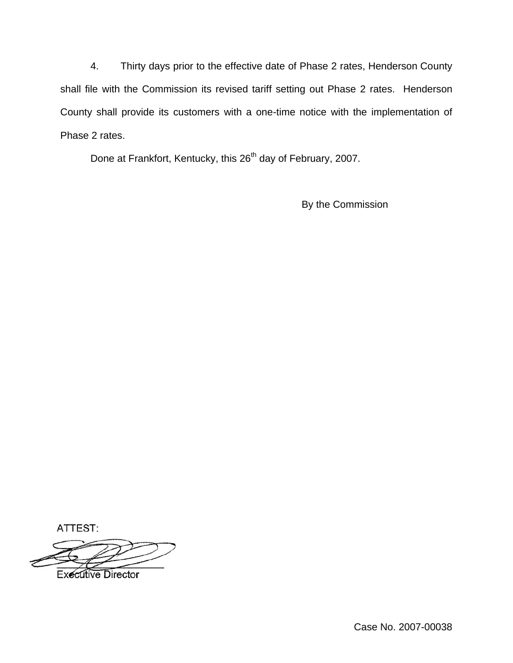4. Thirty days prior to the effective date of Phase 2 rates, Henderson County shall file with the Commission its revised tariff setting out Phase 2 rates. Henderson County shall provide its customers with a one-time notice with the implementation of Phase 2 rates.

Done at Frankfort, Kentucky, this 26<sup>th</sup> day of February, 2007.

By the Commission

ATTEST:

**Executive Director**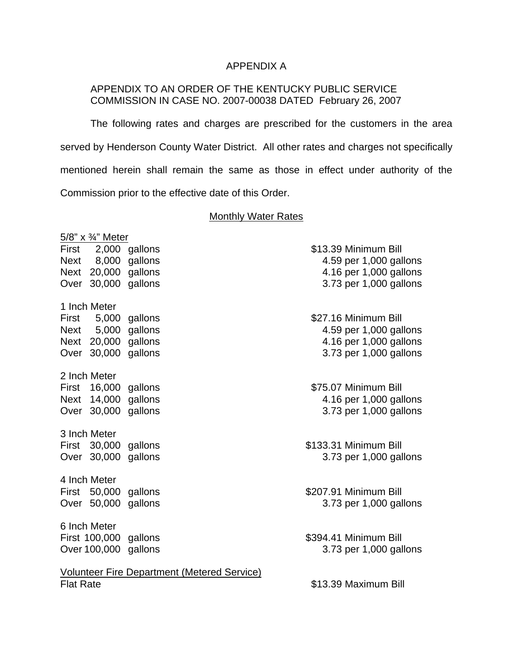# APPENDIX A

# APPENDIX TO AN ORDER OF THE KENTUCKY PUBLIC SERVICE COMMISSION IN CASE NO. 2007-00038 DATED February 26, 2007

The following rates and charges are prescribed for the customers in the area served by Henderson County Water District. All other rates and charges not specifically mentioned herein shall remain the same as those in effect under authority of the Commission prior to the effective date of this Order.

#### **Monthly Water Rates**

|                  | 5/8" x 3/4" Meter                    |                                                    |                        |  |
|------------------|--------------------------------------|----------------------------------------------------|------------------------|--|
|                  | First 2,000 gallons                  |                                                    | \$13.39 Minimum Bill   |  |
|                  | Next 8,000 gallons                   |                                                    | 4.59 per 1,000 gallons |  |
|                  | Next 20,000 gallons                  |                                                    | 4.16 per 1,000 gallons |  |
|                  | Over 30,000 gallons                  |                                                    | 3.73 per 1,000 gallons |  |
|                  | 1 Inch Meter                         |                                                    |                        |  |
|                  | First 5,000 gallons                  |                                                    | \$27.16 Minimum Bill   |  |
|                  | Next 5,000 gallons                   |                                                    | 4.59 per 1,000 gallons |  |
|                  | Next 20,000 gallons                  |                                                    | 4.16 per 1,000 gallons |  |
|                  | Over 30,000 gallons                  |                                                    | 3.73 per 1,000 gallons |  |
|                  | 2 Inch Meter                         |                                                    |                        |  |
|                  | First 16,000 gallons                 |                                                    | \$75.07 Minimum Bill   |  |
|                  | Next 14,000 gallons                  |                                                    | 4.16 per 1,000 gallons |  |
|                  | Over 30,000 gallons                  |                                                    | 3.73 per 1,000 gallons |  |
|                  | 3 Inch Meter                         |                                                    |                        |  |
|                  | First 30,000 gallons                 |                                                    | \$133.31 Minimum Bill  |  |
|                  | Over 30,000                          | gallons                                            | 3.73 per 1,000 gallons |  |
|                  |                                      |                                                    |                        |  |
|                  | 4 Inch Meter<br>First 50,000 gallons |                                                    | \$207.91 Minimum Bill  |  |
|                  | Over 50,000 gallons                  |                                                    | 3.73 per 1,000 gallons |  |
|                  |                                      |                                                    |                        |  |
|                  | 6 Inch Meter                         |                                                    |                        |  |
|                  | First 100,000 gallons                |                                                    | \$394.41 Minimum Bill  |  |
|                  | Over 100,000 gallons                 |                                                    | 3.73 per 1,000 gallons |  |
|                  |                                      | <b>Volunteer Fire Department (Metered Service)</b> |                        |  |
| <b>Flat Rate</b> |                                      |                                                    | \$13.39 Maximum Bill   |  |
|                  |                                      |                                                    |                        |  |